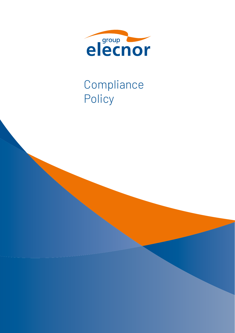

# Compliance Policy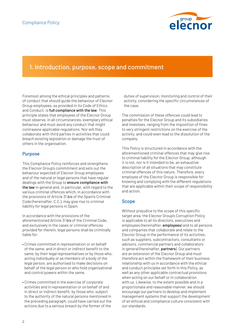

# 1. Introduction, purpose, scope and commitment

Foremost among the ethical principles and patterns of conduct that should guide the behaviour of Elecnor Group employees, as provided in its Code of Ethics and Conduct, is full compliance with the law. This principle states that employees of the Elecnor Group must observe, in all circumstances, exemplary ethical behaviour and must avoid any conduct that might contravene applicable regulations. Nor will they collaborate with third parties in activities that could breach existing legislation or damage the trust of others in the organisation.

## Purpose

This Compliance Policy reinforces and strengthens the Elecnor Group's commitment and sets out the behaviour expected of Elecnor Group employees and of the natural or legal persons that have regular dealings with the Group to ensure compliance with the law in general and, in particular, with regard to the various criminal offences which, in accordance with the provisions of Article 31 *bis* of the Spain's Criminal Code (hereinafter, C.C.), may give rise to criminal liability for legal persons in Spain.

In accordance with the provisions of the aforementioned Article 31 *bis* of the Criminal Code, and exclusively in the cases or criminal offences provided for therein, legal persons shall be criminally liable for:

- Crimes committed in representation or on behalf of the same, and in direct or indirect benefit to the same, by their legal representatives or by those who, acting individually or as members of a body of the legal person, are authorised to make decisions on behalf of the legal person or who hold organisational and control powers within the same.
- Crimes committed in the exercise of corporate activities and in representation or on behalf of and in direct or indirect benefit, by those who, subject to the authority of the natural persons mentioned in the preceding paragraph, could have carried out the actions due to a serious breach by the former of the

duties of supervision, monitoring and control of their activity, considering the specific circumstances of the case.

The commission of these offences could lead to penalties for the Elecnor Group and its subsidiaries and investees, ranging from the imposition of fines to very stringent restrictions on the exercise of the activity, and could even lead to the dissolution of the company.

This Policy is structured in accordance with the aforementioned criminal offences that may give rise to criminal liability for the Elecnor Group, although it is not, nor is it intended to be, an exhaustive description of all situations that may constitute criminal offences of this nature. Therefore, every employee of the Elecnor Group is responsible for knowing and complying with the different regulations that are applicable within their scope of responsibility and action.

#### Scope

Without prejudice to the scope of this specific target area, the Elecnor Group's Corruption Policy is applicable to all its directors, executives and employees (hereinafter, **employees**) and to all persons and companies that collaborate and relate to the Elecnor Group in the performance of its activities, such as suppliers, subcontractors, consultants or advisors, commercial partners and collaborators in general (hereinafter, partners). Our partners are an extension of the Elecnor Group and must therefore act within the framework of their business relationship with us in accordance with the ethical and conduct principles set forth in this Policy, as well as any other applicable contractual provisions when acting on our behalf or in collaboration with us. Likewise, to the extent possible and in a proportionate and reasonable manner, we should encourage our partners to develop and implement management systems that support the development of an ethical and compliance culture consistent with our standards.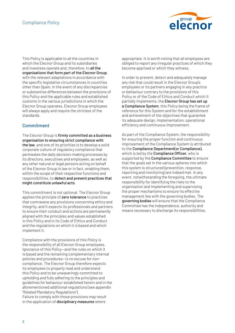

This Policy is applicable to all the countries in which the Elecnor Group and its subsidiaries and investees operate and, therefore, to all the organisations that form part of the Elecnor Group, with the relevant adaptations in accordance with the specific legislative circumstances in countries other than Spain. In the event of any discrepancies or substantive differences between the provisions of this Policy and the applicable rules and established customs in the various jurisdictions in which the Elecnor Group operates, Elecnor Group employees will always apply and require the strictest of the standards.

# Commitment

The Elecnor Group is firmly committed as a business organisation to ensuring strict compliance with the law, and one of its priorities is to develop a solid corporate culture of regulatory compliance that permeates the daily decision-making processes by its directors, executives and employees, as well as any other natural or legal persons acting on behalf of the Elecnor Group in law or in fact, enabling them, within the scope of their respective functions and responsibilities, to detect and prevent practices that might constitute unlawful acts.

This commitment is not optional. The Elecnor Group applies the principle of zero tolerance to practices that contravene any provisions concerning ethics and integrity, and it expects its professionals and partners to ensure their conduct and actions are permanently aligned with the principles and values established in this Policy and in its Code of Ethics and Conduct and the regulations on which it is based and which implement it.

Compliance with the provisions of this Policy is the responsibility of all Elecnor Group employees. Ignorance of this Policy—and the rules on which it is based and the remaining complementary internal policies and procedures—is no excuse for noncompliance. The Elecnor Group therefore expects its employees to properly read and understand this Policy and to be unwaveringly committed to upholding and fully adhering to the principles and guidelines for behaviour established herein and in the aforementioned additional regulations (see appendix "Related Mandatory Regulations").

Failure to comply with those provisions may result in the application of disciplinary measures where

appropriate. It is worth noting that all employees are obliged to report any irregular practices of which they become apprised or which they witness.

In order to prevent, detect and adequately manage any risk that could result in the Elecnor Group's employees or its partners engaging in any practice or behaviour contrary to the provisions of this Policy or of the Code of Ethics and Conduct which it partially implements, the Elecnor Group has set up a Compliance System, this Policy being the frame of reference for this System and for the establishment and achievement of the objectives that guarantee its adequate design, implementation, operational efficiency and continuous improvement.

As part of the Compliance System, the responsibility for ensuring the proper function and continuous improvement of the Compliance System is attributed to the Compliance Department(or Compliance), which is led by the **Compliance Officer**, who is supported by the **Compliance Committee** to ensure that the goals set in the various spheres into which this system is structured (prevention, response, reporting and monitoring) are indeed met. In any event, notwithstanding the foregoing, the ultimate responsibility for identifying the risks to the organisation and implementing and supervising the proper mechanisms to ensure its effective management lies with the governing bodies. The governing bodies will ensure that the Compliance Committee has the independence, authority and means necessary to discharge its responsibilities.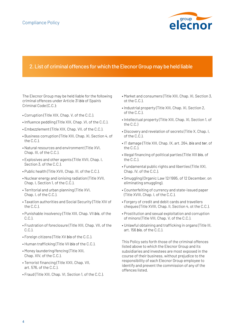

# 2. List of criminal offences for which the Elecnor Group may be held liable

The Elecnor Group may be held liable for the following criminal offences under Article 31 *bis* of Spain's Criminal Code (C.C.):

- Corruption (Title XIX, Chap. V, of the C.C.).
- Influence peddling (Title XIX, Chap .VI, of the C.C.).
- Embezzlement (Title XIX, Chap. VII, of the C.C.).
- Business corruption (Title XIII, Chap. XI, Section 4, of the C.C.).
- Natural resources and environment (Title XVI, Chap. III, of the C.C.).
- Explosives and other agents (Title XVII, Chap. I, Section 3, of the C.C.).
- Public health (Title XVII, Chap. III, of the C.C.).
- Nuclear energy and ionising radiation (Title XVII, Chap. I, Section 1, of the C.C.).
- Territorial and urban planning (Title XVI, Chap. I, of the C.C.).
- Taxation authorities and Social Security (Title XIV of the C.C.).
- Punishable insolvency (Title XIII, Chap. VII *bis*, of the C.C.).
- Frustration of foreclosure (Title XIII, Chap. VII, of the C.C.).
- Foreign citizens (Title XV *bis* of the C.C.).
- Human trafficking (Title VII *bis* of the C.C.).
- Money laundering/fencing (Title XIII, Chap. XIV, of the C.C.).
- Terrorist financing (Title XXII, Chap. VII, art. 576, of the C.C.).
- Fraud (Title XIII, Chap. VI, Section 1, of the C.C.).
- Market and consumers (Title XIII, Chap. XI, Section 3, ot the C.C.).
- Industrial property (Title XIII, Chap. XI, Section 2, of the C.C.).
- Intellectual property (Title XIII, Chap. XI, Section 1, of the C.C.)
- Discovery and revelation of secrets (Title X, Chap. I, of the C.C.).
- IT damage (Title XIII, Chap. IX, art. 264, *bis* and *ter*, of the C.C.).
- Illegal financing of political parties (Title XIII *bis*, of the C.C.).
- Fundamental public rights and liberties (Title XXI, Chap. IV, of the C.C.).
- Smuggling (Organic Law 12/1995, of 12 December, on eliminating smuggling).
- Counterfeiting of currency and state-issued paper (Title XVIII, Chap. I, of the C.C.).
- Forgery of credit and debit cards and travellers cheques (Title XVIII, Chap. II, Section 4, ot the C.C.).
- Prostitution and sexual exploitation and corruption of minors (Title VIII, Chap. V, of the C.C.).
- Unlawful obtaining and trafficking in organs (Title III, art. 156 *bis*, of the C.C.).

This Policy sets forth those of the criminal offences listed above to which the Elecnor Group and its subsidiaries and investees are most exposed in the course of their business, without prejudice to the responsibility of each Elecnor Group employee to identify and prevent the commission of any of the offences listed.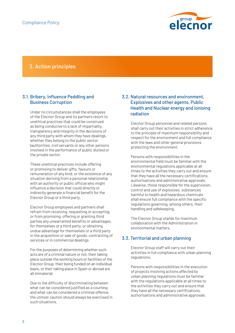

# 3. Action principles

#### 3.1. Bribery, Influence Peddling and Business Corruption

Under no circumstances shall the employees of the Elecnor Group and its partners resort to unethical practices that could be construed as being conducive to a lack of impartiality, transparency and integrity in the decisions of any third party with whom they have dealings, whether they belong to the public sector (authorities, civil servants or any other persons involved in the performance of public duties) or the private sector.

These unethical practices include offering or promising to deliver gifts, favours or remuneration of any kind, or the existence of any situation deriving from a personal relationship with an authority or public official who might influence a decision that could directly or indirectly generate a financial benefit for the Elecnor Group or a third party.

Elecnor Group employees and partners shall refrain from receiving, requesting or accepting, or from promising, offering or granting third parties any unwarranted benefits or advantages, for themselves or a third party, or obtaining undue advantage for themselves or a third party in the acquisition or sale of goods, contracting of services or in commercial dealings.

For the purposes of determining whether such acts are of a criminal nature or not, their taking place outside the working hours or facilities of the Elecnor Group, their being funded on an individual basis, or their taking place in Spain or abroad are all immaterial.

Due to the difficulty of discriminating between what can be considered justified as a courtesy and what can be considered a criminal offence, the utmost caution should always be exercised in such situations.

#### 3.2. Natural resources and environment, Explosives and other agents, Public Health and Nuclear energy and ionising radiation

Elecnor Group personnel and related persons shall carry out their activities in strict adherence to the principle of maximum responsibility and respect for the environment and full compliance with the laws and other general provisions protecting the environment.

Persons with responsibilities in the environmental field must be familiar with the environmental regulations applicable at all times to the activities they carry out and ensure that they have all the necessary certifications, authorisations and administrative approvals. Likewise, those responsible for the supervision, control and use of explosives, substances harmful to health and hazardous chemicals shall ensure full compliance with the specific regulations governing, among others, their handling and safekeeping.

The Elecnor Group stands for maximum collaboration with the Administration in environmental matters.

#### 3.3. Territorial and urban planning

Elecnor Group staff will carry out their activities in full compliance with urban planning regulations.

Persons with responsibilities in the execution of projects involving actions affected by urban planning regulations must be familiar with the regulations applicable at all times to the activities they carry out and ensure that they have all the necessary certifications, authorisations and administrative approvals.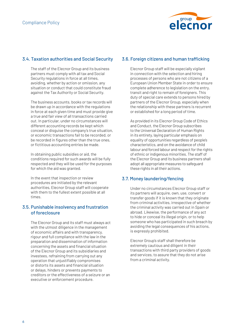

# 3.4. Taxation authorities and Social Security

The staff of the Elecnor Group and its business partners must comply with all tax and Social Security regulations in force at all times, avoiding, whether by action or omission, any situation or conduct that could constitute fraud against the Tax Authority or Social Security.

The business accounts, books or tax records will be drawn up in accordance with the regulations in force at each given time and must provide give a true and fair view of all transactions carried out. In particular, under no circumstances will different accounting records be kept which conceal or disguise the company's true situation, or economic transactions fail to be recorded, or be recorded in figures other than the true ones, or fictitious accounting entries be made.

In obtaining public subsidies or aid, the conditions required for such awards will be fully respected and they will be used for the purposes for which the aid was granted.

In the event that inspection or review procedures are initiated by the relevant authorities, Elecnor Group staff will cooperate with them to the fullest extent possible at all times.

## 3.5. Punishable insolvency and frustration of foreclosure

The Elecnor Group and its staff must always act with the utmost diligence in the management of economic affairs and with transparency, rigour and full compliance with the law in the preparation and dissemination of information concerning the assets and financial situation of the Elecnor Group and its subsidiaries and investees, refraining from carrying out any operation that unjustifiably compromises or distorts its assets and financial situation or delays, hinders or prevents payments to creditors or the effectiveness of a seizure or an executive or enforcement procedure.

# 3.6. Foreign citizens and human trafficking

Elecnor Group staff will be especially vigilant in connection with the selection and hiring processes of persons who are not citizens of a European Union Member State in order to ensure complete adherence to legislation on the entry, transit and right to remain of foreigners. This duty of special care extends to persons hired by partners of the Elecnor Group, especially when the relationship with these partners is recurrent or established for a long period of time.

As provided in its Elecnor Group Code of Ethics and Conduct, the Elecnor Group subscribes to the Universal Declaration of Human Rights in its entirety, laying particular emphasis on equality of opportunities regardless of people's characteristics, and on the avoidance of child labour and forced labour and respect for the rights of ethnic or indigenous minorities. The staff of the Elecnor Group and its business partners shall adopt all appropriate measures to safeguard these rights in all their actions.

# 3.7. Money laundering/fencing

Under no circumstances Elecnor Group staff or its partners will acquire, own, use, convert or transfer goods if it is known that they originate from criminal activities, irrespective of whether the criminal activity was carried out in Spain or abroad. Likewise, the performance of any act to hide or conceal its illegal origin, or to help someone who has participated in such breach by avoiding the legal consequences of his actions, is expressly prohibited.

Elecnor Group's staff shall therefore be extremely cautious and diligent in their transactions with third party providers of goods and services, to assure that they do not arise from a criminal activity.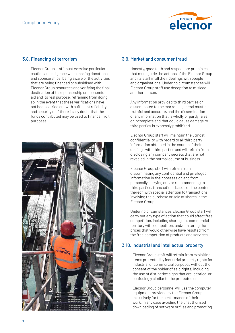

#### 3.8. Financing of terrorism

Elecnor Group staff must exercise particular caution and diligence when making donations and sponsorships, being aware of the activities that are being financed or subsidised with Elecnor Group resources and verifying the final destination of the sponsorship or economic aid and its real purpose, refraining from doing so in the event that these verifications have not been carried out with sufficient reliability and security or if there is any doubt that the funds contributed may be used to finance illicit purposes.



#### 3.9. Market and consumer fraud

Honesty, good faith and respect are principles that must guide the actions of the Elecnor Group and its staff in all their dealings with people and organisations. Under no circumstances will Elecnor Group staff use deception to mislead another person.

Any information provided to third parties or disseminated to the market in general must be truthful and accurate, and the dissemination of any information that is wholly or partly false or incomplete and that could cause damage to third parties is expressly prohibited.

Elecnor Group staff will maintain the utmost confidentiality with regard to all third party information obtained in the course of their dealings with third parties and will refrain from disclosing any company secrets that are not revealed in the normal course of business.

Elecnor Group staff will refrain from disseminating any confidential and privileged information in their possession and from personally carrying out, or recommending to third parties, transactions based on the content thereof, with special attention to transactions involving the purchase or sale of shares in the Elecnor Group.

Under no circumstances Elecnor Group staff will carry out any type of action that could affect free competition, including sharing out commercial territory with competitors and/or altering the prices that would otherwise have resulted from the free competition of products and services.

# 3.10. Industrial and intellectual property

Elecnor Group staff will refrain from exploiting items protected by industrial property rights for industrial or commercial purposes without the consent of the holder of said rights, including the use of distinctive signs that are identical or confusingly similar to the protected ones.

Elecnor Group personnel will use the computer equipment provided by the Elecnor Group exclusively for the performance of their work, in any case avoiding the unauthorised downloading of software or files and promoting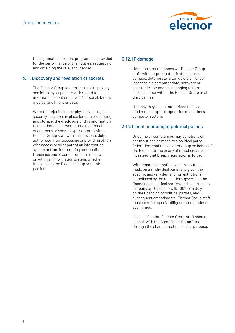

the legitimate use of the programmes provided for the performance of their duties, requesting and obtaining the relevant licences.

#### 3.11. Discovery and revelation of secrets

The Elecnor Group fosters the right to privacy and intimacy, especially with regard to information about employees' personal, family, medical and financial data.

Without prejudice to the physical and logical security measures in place for data processing and storage, the disclosure of this information to unauthorised personnel and the breach of another's privacy is expressly prohibited. Elecnor Group staff will refrain, unless duly authorised, from accessing or providing others with access to all or part of an information system or from intercepting non-public transmissions of computer data from, to or within an information system, whether it belongs to the Elecnor Group or to third parties.

#### 3.12. IT damage

Under no circumstances will Elecnor Group staff, without prior authorisation, erase, damage, deteriorate, alter, delete or render inaccessible computer data, software or electronic documents belonging to third parties, either within the Elecnor Group or at third parties.

Nor may they, unless authorised to do so, hinder or disrupt the operation of another's computer system.

## 3.13. Illegal financing of political parties

Under no circumstances may donations or contributions be made to a political party, federation, coalition or voter group on behalf of the Elecnor Group or any of its subsidiaries or investees that breach legislation in force.

With regard to donations or contributions made on an individual basis, and given the specific and very demanding restrictions established by the regulations governing the financing of political parties, and in particular, in Spain, by Organic Law 8/2007, of 4 July, on the financing of political parties, and subsequent amendments, Elecnor Group staff must exercise special diligence and prudence at all times.

In case of doubt, Elecnor Group staff should consult with the Compliance Committee through the channels set up for this purpose.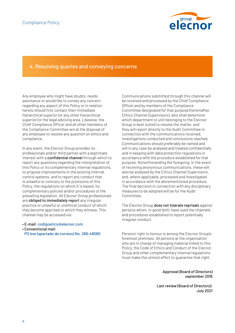

# 4. Resolving queries and conveying concerns

Any employee who might have doubts, needs assistance or would like to convey any concern regarding any aspect of this Policy or in relation hereto should first contact their immediate hierarchical superior (or any other hierarchical superior) or the legal advising area. Likewise, the Chief Compliance Officer and all other members of the Compliance Committee are at the disposal of any employee to resolve any question on ethics and compliance.

In any event, the Elecnor Group provides its professionals and/or third parties with a legitimate interest with a confidential channel through which to report any questions regarding the interpretation of this Policy or its complementary internal regulations, to propose improvements in the existing internal control systems, and to report any conduct that is unlawful or contrary to the provisions of this Policy, the regulations on which it is based, its complementary policies and/or procedures or the prevailing legislation. All Elecnor Group professionals are obliged to immediately report any irregular practice or unlawful or unethical conduct of which they become apprised or which they witness. This channel may be accessed via:

- E-mail: codigoetico@elecnor.com
- Conventional mail:
- PO box (apartado de correos) No. 266-48080

Communications submitted through this channel will be received and processed by the Chief Compliance Officer and by members of the Compliance Committee designated for that purpose (hereinafter, Ethics Channel Supervisors), who shall determine which department or unit belonging to the Elecnor Group is best suited to resolve the matter, and they will report directly to the Audit Committee in connection with the communications received, investigations conducted and conclusions reached. Communications should preferably be named and will in any case be analysed and treated confidentially and in keeping with data protection regulations in accordance with the procedure established for that purpose. Notwithstanding the foregoing, in the event of receiving anonymous communications, these will also be analysed by the Ethics Channel Supervisors, and, where applicable, processed and investigated in accordance with the aforementioned procedure. The final decision in connection with any disciplinary measures to be adopted will be for the Audit Committee.

The Elecnor Group does not tolerate reprisals against persons whom, in good faith, have used the channels and procedures established to report potentially irregular conduct.

Persons' right to honour is among the Elecnor Group's foremost premises. All persons at the organisation who are in charge of managing material linked to this Policy, the Code of Ethics and Conduct of the Elecnor Group and other complementary internal regulations must make the utmost effort to guarantee that right.

> Approval (Board of Directors) september 2016

Last review (Board of Directors): July 2021